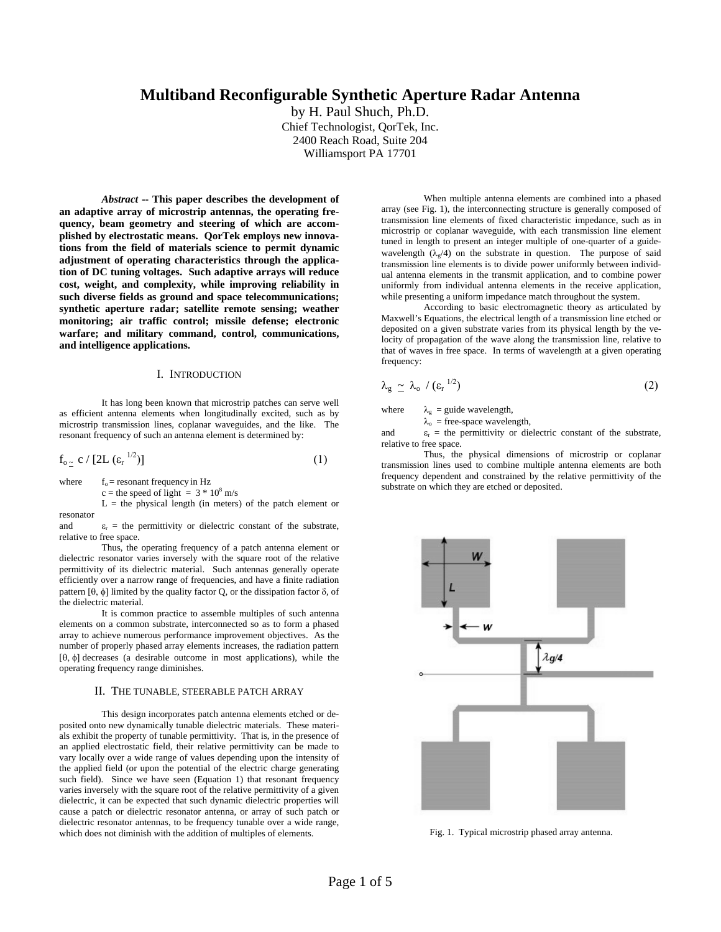# **Multiband Reconfigurable Synthetic Aperture Radar Antenna**

by H. Paul Shuch, Ph.D. Chief Technologist, QorTek, Inc. 2400 Reach Road, Suite 204 Williamsport PA 17701

*Abstract* **-- This paper describes the development of an adaptive array of microstrip antennas, the operating frequency, beam geometry and steering of which are accomplished by electrostatic means. QorTek employs new innovations from the field of materials science to permit dynamic adjustment of operating characteristics through the application of DC tuning voltages. Such adaptive arrays will reduce cost, weight, and complexity, while improving reliability in such diverse fields as ground and space telecommunications; synthetic aperture radar; satellite remote sensing; weather monitoring; air traffic control; missile defense; electronic warfare; and military command, control, communications, and intelligence applications.** 

#### I. INTRODUCTION

 It has long been known that microstrip patches can serve well as efficient antenna elements when longitudinally excited, such as by microstrip transmission lines, coplanar waveguides, and the like. The resonant frequency of such an antenna element is determined by:

$$
f_{o_{\frac{\infty}{}}}\ c\ /\ [2L\ ( \varepsilon_{r}^{\ 1/2}) ] \tag{1}
$$

where  $f_0$  = resonant frequency in Hz

 $c$  = the speed of light =  $3 * 10<sup>8</sup>$  m/s

 $L =$  the physical length (in meters) of the patch element or resonator

and  $\varepsilon_r$  = the permittivity or dielectric constant of the substrate, relative to free space.

Thus, the operating frequency of a patch antenna element or dielectric resonator varies inversely with the square root of the relative permittivity of its dielectric material. Such antennas generally operate efficiently over a narrow range of frequencies, and have a finite radiation pattern [θ, φ] limited by the quality factor Q, or the dissipation factor δ, of the dielectric material.

It is common practice to assemble multiples of such antenna elements on a common substrate, interconnected so as to form a phased array to achieve numerous performance improvement objectives. As the number of properly phased array elements increases, the radiation pattern [θ, φ] decreases (a desirable outcome in most applications), while the operating frequency range diminishes.

#### II. THE TUNABLE, STEERABLE PATCH ARRAY

This design incorporates patch antenna elements etched or deposited onto new dynamically tunable dielectric materials. These materials exhibit the property of tunable permittivity. That is, in the presence of an applied electrostatic field, their relative permittivity can be made to vary locally over a wide range of values depending upon the intensity of the applied field (or upon the potential of the electric charge generating such field). Since we have seen (Equation 1) that resonant frequency varies inversely with the square root of the relative permittivity of a given dielectric, it can be expected that such dynamic dielectric properties will cause a patch or dielectric resonator antenna, or array of such patch or dielectric resonator antennas, to be frequency tunable over a wide range, which does not diminish with the addition of multiples of elements.

When multiple antenna elements are combined into a phased array (see Fig. 1), the interconnecting structure is generally composed of transmission line elements of fixed characteristic impedance, such as in microstrip or coplanar waveguide, with each transmission line element tuned in length to present an integer multiple of one-quarter of a guidewavelength  $(\lambda_e/4)$  on the substrate in question. The purpose of said transmission line elements is to divide power uniformly between individual antenna elements in the transmit application, and to combine power uniformly from individual antenna elements in the receive application, while presenting a uniform impedance match throughout the system.

According to basic electromagnetic theory as articulated by Maxwell's Equations, the electrical length of a transmission line etched or deposited on a given substrate varies from its physical length by the velocity of propagation of the wave along the transmission line, relative to that of waves in free space. In terms of wavelength at a given operating frequency:

$$
\lambda_{g} \simeq \lambda_{o} / (\varepsilon_{r}^{1/2}) \tag{2}
$$

where  $\lambda_g$  = guide wavelength,

 $\lambda_{o}$  = free-space wavelength, and  $\varepsilon_r$  = the permittivity or dielectric constant of the substrate, relative to free space.

Thus, the physical dimensions of microstrip or coplanar transmission lines used to combine multiple antenna elements are both frequency dependent and constrained by the relative permittivity of the substrate on which they are etched or deposited.



Fig. 1. Typical microstrip phased array antenna.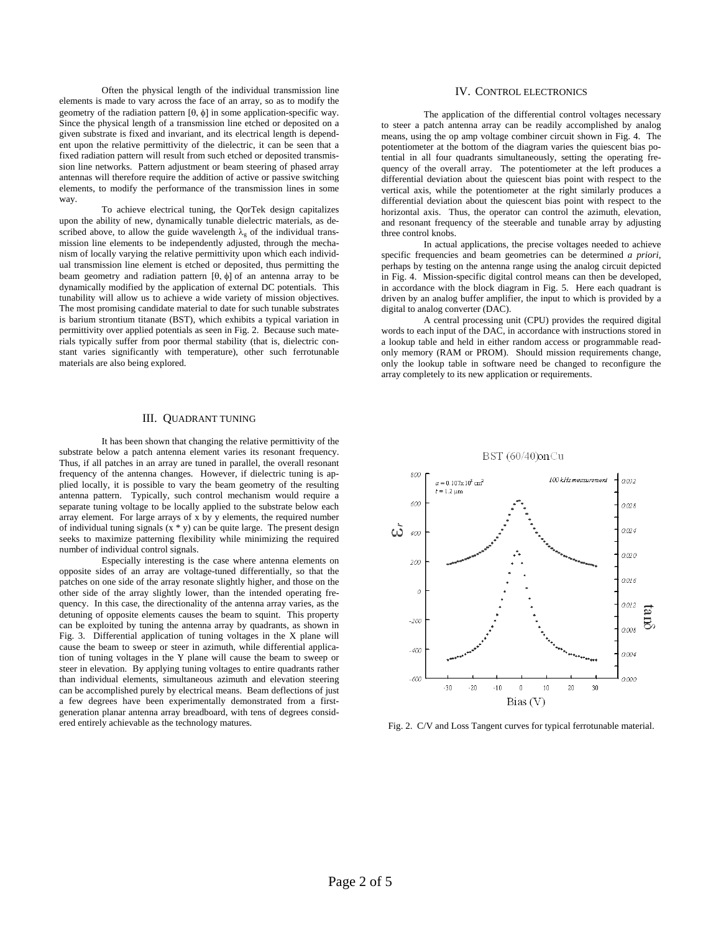Often the physical length of the individual transmission line elements is made to vary across the face of an array, so as to modify the geometry of the radiation pattern [θ, φ] in some application-specific way. Since the physical length of a transmission line etched or deposited on a given substrate is fixed and invariant, and its electrical length is dependent upon the relative permittivity of the dielectric, it can be seen that a fixed radiation pattern will result from such etched or deposited transmission line networks. Pattern adjustment or beam steering of phased array antennas will therefore require the addition of active or passive switching elements, to modify the performance of the transmission lines in some way.

To achieve electrical tuning, the QorTek design capitalizes upon the ability of new, dynamically tunable dielectric materials, as described above, to allow the guide wavelength  $\lambda_{\rm g}$  of the individual transmission line elements to be independently adjusted, through the mechanism of locally varying the relative permittivity upon which each individual transmission line element is etched or deposited, thus permitting the beam geometry and radiation pattern [θ, φ] of an antenna array to be dynamically modified by the application of external DC potentials. This tunability will allow us to achieve a wide variety of mission objectives. The most promising candidate material to date for such tunable substrates is barium strontium titanate (BST), which exhibits a typical variation in permittivity over applied potentials as seen in Fig. 2. Because such materials typically suffer from poor thermal stability (that is, dielectric constant varies significantly with temperature), other such ferrotunable materials are also being explored.

### III. QUADRANT TUNING

 It has been shown that changing the relative permittivity of the substrate below a patch antenna element varies its resonant frequency. Thus, if all patches in an array are tuned in parallel, the overall resonant frequency of the antenna changes. However, if dielectric tuning is applied locally, it is possible to vary the beam geometry of the resulting antenna pattern. Typically, such control mechanism would require a separate tuning voltage to be locally applied to the substrate below each array element. For large arrays of x by y elements, the required number of individual tuning signals  $(x * y)$  can be quite large. The present design seeks to maximize patterning flexibility while minimizing the required number of individual control signals.

 Especially interesting is the case where antenna elements on opposite sides of an array are voltage-tuned differentially, so that the patches on one side of the array resonate slightly higher, and those on the other side of the array slightly lower, than the intended operating frequency. In this case, the directionality of the antenna array varies, as the detuning of opposite elements causes the beam to squint. This property can be exploited by tuning the antenna array by quadrants, as shown in Fig. 3. Differential application of tuning voltages in the X plane will cause the beam to sweep or steer in azimuth, while differential application of tuning voltages in the Y plane will cause the beam to sweep or steer in elevation. By applying tuning voltages to entire quadrants rather than individual elements, simultaneous azimuth and elevation steering can be accomplished purely by electrical means. Beam deflections of just a few degrees have been experimentally demonstrated from a firstgeneration planar antenna array breadboard, with tens of degrees considered entirely achievable as the technology matures.

## IV. CONTROL ELECTRONICS

 The application of the differential control voltages necessary to steer a patch antenna array can be readily accomplished by analog means, using the op amp voltage combiner circuit shown in Fig. 4. The potentiometer at the bottom of the diagram varies the quiescent bias potential in all four quadrants simultaneously, setting the operating frequency of the overall array. The potentiometer at the left produces a differential deviation about the quiescent bias point with respect to the vertical axis, while the potentiometer at the right similarly produces a differential deviation about the quiescent bias point with respect to the horizontal axis. Thus, the operator can control the azimuth, elevation, and resonant frequency of the steerable and tunable array by adjusting three control knobs.

 In actual applications, the precise voltages needed to achieve specific frequencies and beam geometries can be determined *a priori*, perhaps by testing on the antenna range using the analog circuit depicted in Fig. 4. Mission-specific digital control means can then be developed, in accordance with the block diagram in Fig. 5. Here each quadrant is driven by an analog buffer amplifier, the input to which is provided by a digital to analog converter (DAC).

 A central processing unit (CPU) provides the required digital words to each input of the DAC, in accordance with instructions stored in a lookup table and held in either random access or programmable readonly memory (RAM or PROM). Should mission requirements change, only the lookup table in software need be changed to reconfigure the array completely to its new application or requirements.



Fig. 2. C/V and Loss Tangent curves for typical ferrotunable material.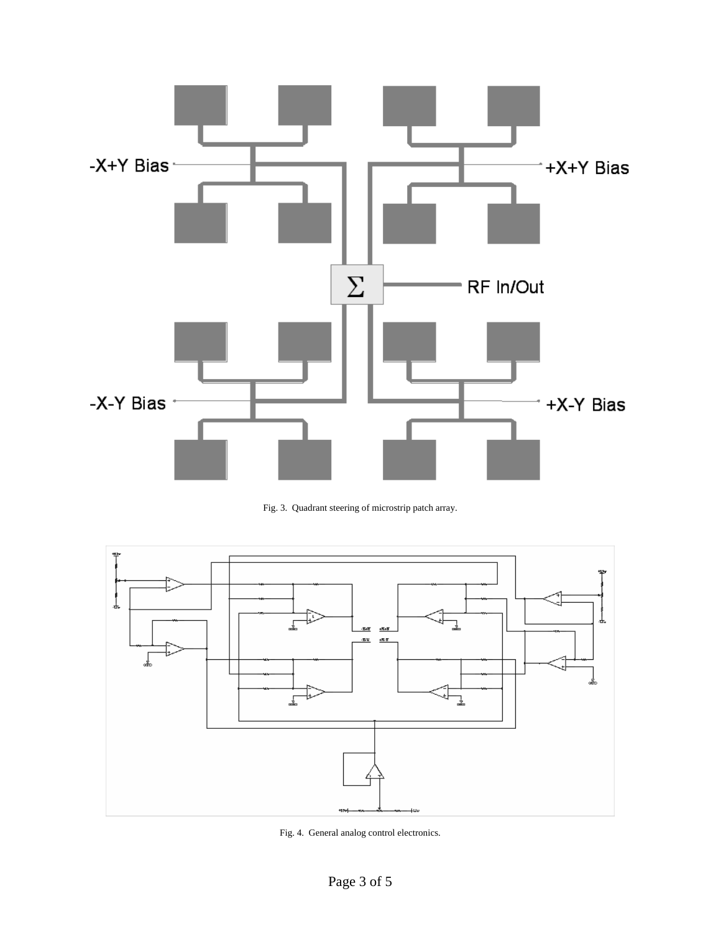

Fig. 3. Quadrant steering of microstrip patch array.



Fig. 4. General analog control electronics.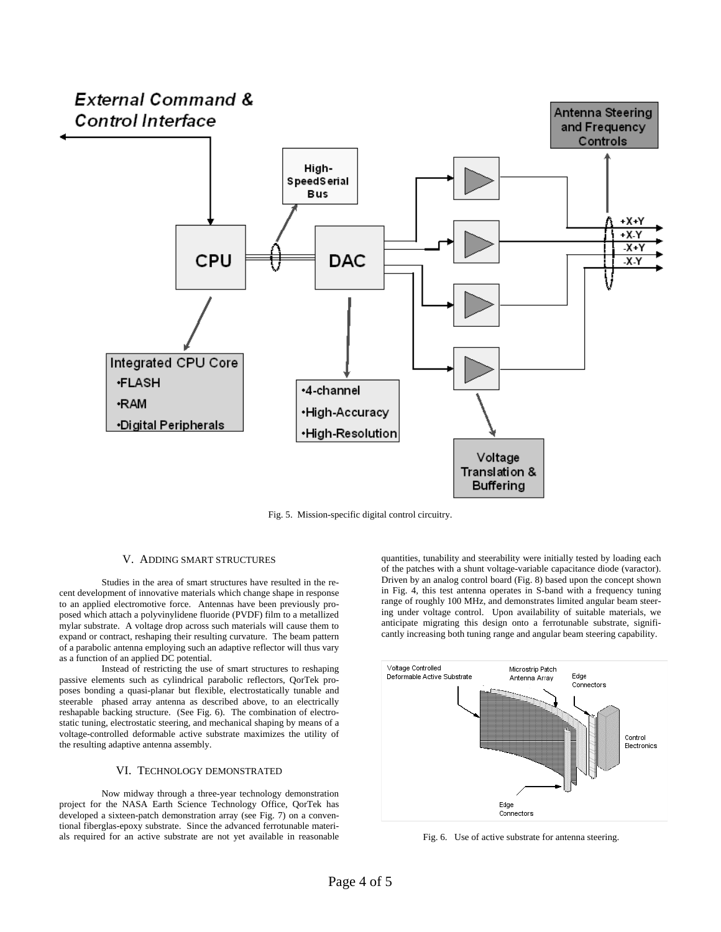

Fig. 5. Mission-specific digital control circuitry.

### V. ADDING SMART STRUCTURES

Studies in the area of smart structures have resulted in the recent development of innovative materials which change shape in response to an applied electromotive force. Antennas have been previously proposed which attach a polyvinylidene fluoride (PVDF) film to a metallized mylar substrate. A voltage drop across such materials will cause them to expand or contract, reshaping their resulting curvature. The beam pattern of a parabolic antenna employing such an adaptive reflector will thus vary as a function of an applied DC potential.

Instead of restricting the use of smart structures to reshaping passive elements such as cylindrical parabolic reflectors, QorTek proposes bonding a quasi-planar but flexible, electrostatically tunable and steerable phased array antenna as described above, to an electrically reshapable backing structure. (See Fig. 6). The combination of electrostatic tuning, electrostatic steering, and mechanical shaping by means of a voltage-controlled deformable active substrate maximizes the utility of the resulting adaptive antenna assembly.

# VI. TECHNOLOGY DEMONSTRATED

 Now midway through a three-year technology demonstration project for the NASA Earth Science Technology Office, QorTek has developed a sixteen-patch demonstration array (see Fig. 7) on a conventional fiberglas-epoxy substrate. Since the advanced ferrotunable materials required for an active substrate are not yet available in reasonable

quantities, tunability and steerability were initially tested by loading each of the patches with a shunt voltage-variable capacitance diode (varactor). Driven by an analog control board (Fig. 8) based upon the concept shown in Fig. 4, this test antenna operates in S-band with a frequency tuning range of roughly 100 MHz, and demonstrates limited angular beam steering under voltage control. Upon availability of suitable materials, we anticipate migrating this design onto a ferrotunable substrate, significantly increasing both tuning range and angular beam steering capability.



Fig. 6. Use of active substrate for antenna steering.